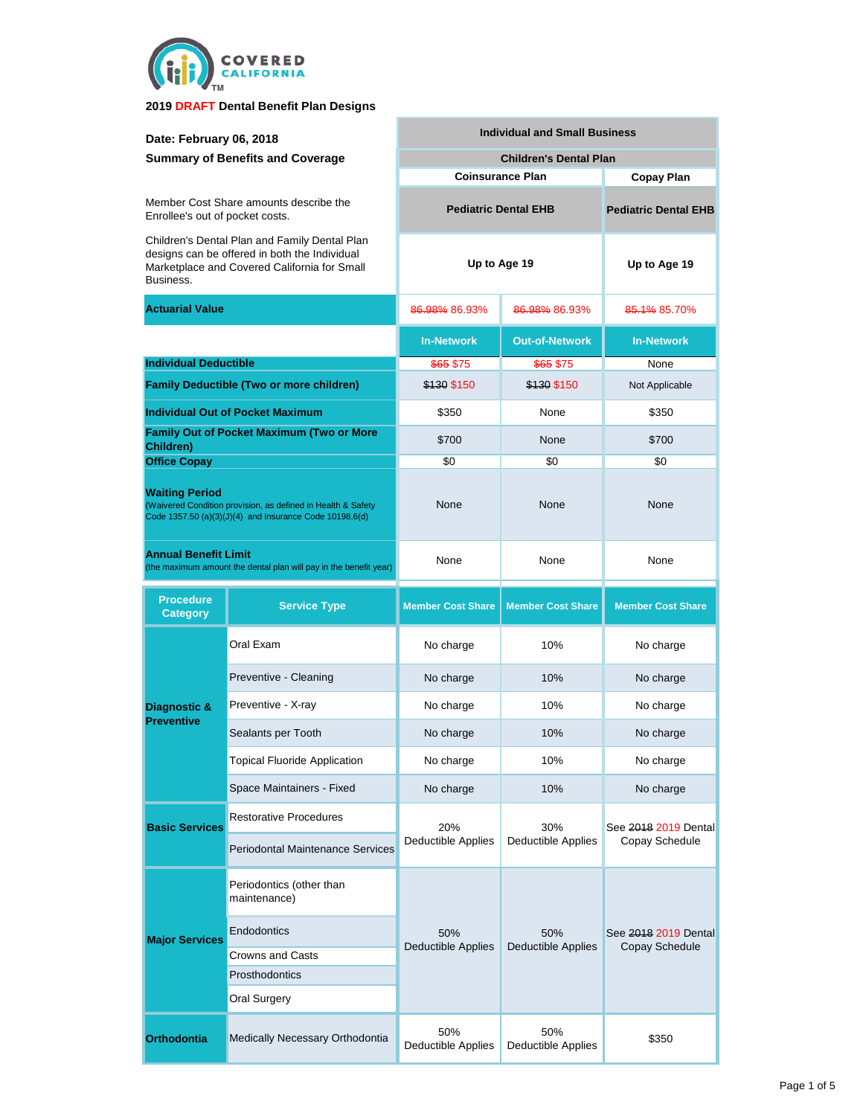

| Date: February 06, 2018                                                                                                                                     |                                                  | <b>Individual and Small Business</b> |                             |                          |  |  |
|-------------------------------------------------------------------------------------------------------------------------------------------------------------|--------------------------------------------------|--------------------------------------|-----------------------------|--------------------------|--|--|
| <b>Summary of Benefits and Coverage</b>                                                                                                                     |                                                  | <b>Children's Dental Plan</b>        |                             |                          |  |  |
|                                                                                                                                                             |                                                  | <b>Coinsurance Plan</b>              | Copay Plan                  |                          |  |  |
| Member Cost Share amounts describe the<br>Enrollee's out of pocket costs.                                                                                   |                                                  | <b>Pediatric Dental EHB</b>          | <b>Pediatric Dental EHB</b> |                          |  |  |
| Children's Dental Plan and Family Dental Plan<br>designs can be offered in both the Individual<br>Marketplace and Covered California for Small<br>Business. |                                                  | Up to Age 19                         |                             | Up to Age 19             |  |  |
| <b>Actuarial Value</b>                                                                                                                                      |                                                  | 86.98% 86.93%                        | 86.98% 86.93%               | 85.1% 85.70%             |  |  |
|                                                                                                                                                             |                                                  | <b>In-Network</b>                    | <b>Out-of-Network</b>       | <b>In-Network</b>        |  |  |
|                                                                                                                                                             | <b>Individual Deductible</b>                     |                                      | \$65 \$75                   | None                     |  |  |
|                                                                                                                                                             | <b>Family Deductible (Two or more children)</b>  | \$130 \$150                          | \$130 \$150                 | Not Applicable           |  |  |
|                                                                                                                                                             | <b>Individual Out of Pocket Maximum</b>          | \$350                                | None                        | \$350                    |  |  |
| Children)                                                                                                                                                   | <b>Family Out of Pocket Maximum (Two or More</b> | \$700                                | None                        | \$700                    |  |  |
| <b>Office Copay</b>                                                                                                                                         |                                                  | \$0                                  | \$0                         | \$0                      |  |  |
| <b>Waiting Period</b><br>(Waivered Condition provision, as defined in Health & Safety<br>Code 1357.50 (a)(3)(J)(4) and Insurance Code 10198.6(d)            |                                                  | None                                 | None                        | None                     |  |  |
| <b>Annual Benefit Limit</b><br>(the maximum amount the dental plan will pay in the benefit year)                                                            |                                                  | None<br>None                         |                             | None                     |  |  |
| <b>Procedure</b>                                                                                                                                            |                                                  |                                      |                             |                          |  |  |
| <b>Category</b>                                                                                                                                             | <b>Service Type</b>                              | <b>Member Cost Share</b>             | <b>Member Cost Share</b>    | <b>Member Cost Share</b> |  |  |
|                                                                                                                                                             | Oral Exam                                        | No charge                            | 10%                         | No charge                |  |  |
|                                                                                                                                                             | Preventive - Cleaning                            | No charge                            | 10%                         | No charge                |  |  |
| Diagnostic &                                                                                                                                                | Preventive - X-ray                               | No charge                            | 10%                         | No charge                |  |  |
| <b>Preventive</b>                                                                                                                                           | Sealants per Tooth                               | No charge                            | 10%                         | No charge                |  |  |
|                                                                                                                                                             | Topical Fluoride Application                     | No charge                            | 10%                         | No charge                |  |  |
|                                                                                                                                                             | Space Maintainers - Fixed                        | No charge                            | 10%                         | No charge                |  |  |
| <b>Basic Services</b>                                                                                                                                       | <b>Restorative Procedures</b>                    | 20%                                  | 30%                         | See 2018 2019 Dental     |  |  |
|                                                                                                                                                             | <b>Periodontal Maintenance Services</b>          | <b>Deductible Applies</b>            | Deductible Applies          | Copay Schedule           |  |  |
|                                                                                                                                                             | Periodontics (other than<br>maintenance)         |                                      |                             |                          |  |  |
| <b>Major Services</b>                                                                                                                                       | Endodontics                                      | 50%                                  | 50%                         | See 2018 2019 Dental     |  |  |
|                                                                                                                                                             | <b>Crowns and Casts</b>                          | <b>Deductible Applies</b>            | Deductible Applies          | Copay Schedule           |  |  |
|                                                                                                                                                             | Prosthodontics                                   |                                      |                             |                          |  |  |
|                                                                                                                                                             | <b>Oral Surgery</b>                              |                                      |                             |                          |  |  |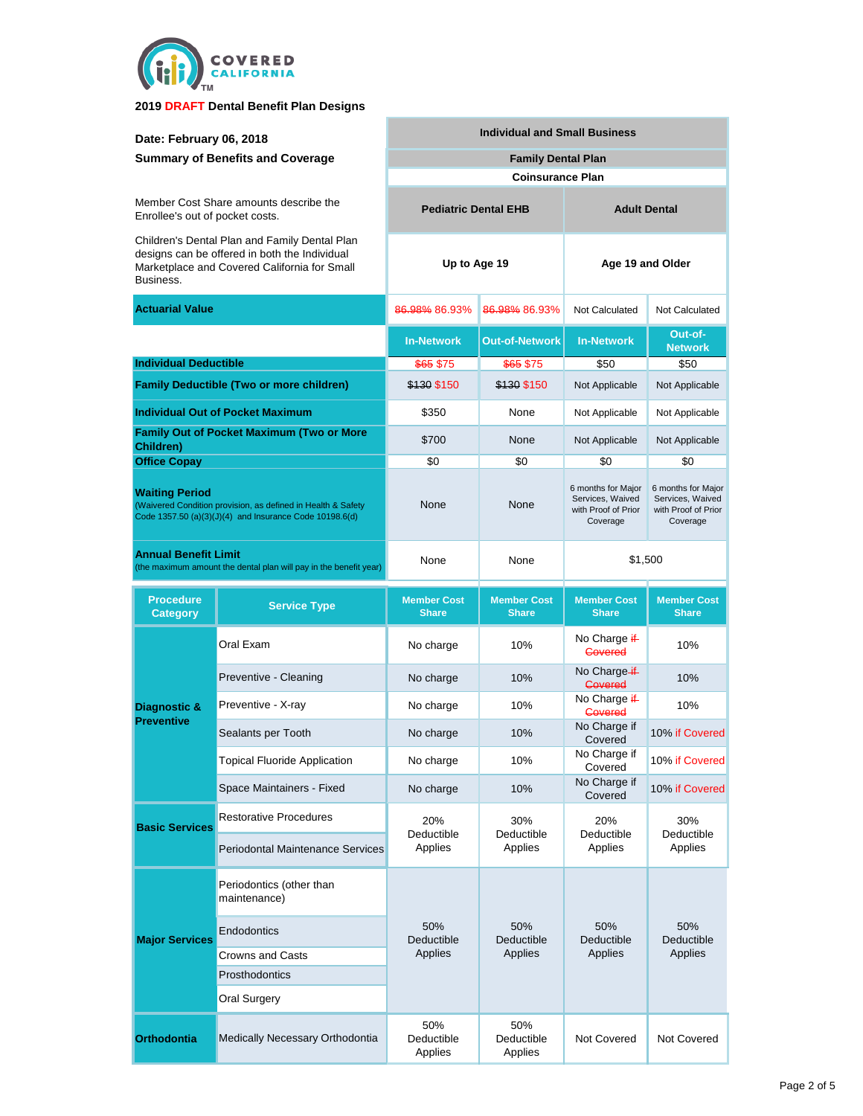

| Date: February 06, 2018<br><b>Summary of Benefits and Coverage</b>                                                                                          |                                                  | <b>Individual and Small Business</b> |                                    |                                                                           |                                                                           |  |
|-------------------------------------------------------------------------------------------------------------------------------------------------------------|--------------------------------------------------|--------------------------------------|------------------------------------|---------------------------------------------------------------------------|---------------------------------------------------------------------------|--|
|                                                                                                                                                             |                                                  | <b>Family Dental Plan</b>            |                                    |                                                                           |                                                                           |  |
|                                                                                                                                                             |                                                  |                                      | <b>Coinsurance Plan</b>            |                                                                           |                                                                           |  |
| Member Cost Share amounts describe the<br>Enrollee's out of pocket costs.                                                                                   |                                                  | <b>Pediatric Dental EHB</b>          |                                    | <b>Adult Dental</b>                                                       |                                                                           |  |
| Children's Dental Plan and Family Dental Plan<br>designs can be offered in both the Individual<br>Marketplace and Covered California for Small<br>Business. |                                                  | Up to Age 19                         |                                    | Age 19 and Older                                                          |                                                                           |  |
| <b>Actuarial Value</b>                                                                                                                                      |                                                  | 86.98% 86.93%                        | 86.98% 86.93%                      | <b>Not Calculated</b>                                                     | Not Calculated                                                            |  |
|                                                                                                                                                             |                                                  | <b>In-Network</b>                    | <b>Out-of-Network</b>              | <b>In-Network</b>                                                         | Out-of-<br><b>Network</b>                                                 |  |
| <b>Individual Deductible</b>                                                                                                                                |                                                  | \$65 \$75                            | \$65 \$75                          | \$50                                                                      | \$50                                                                      |  |
|                                                                                                                                                             | <b>Family Deductible (Two or more children)</b>  | \$130 \$150                          | \$130 \$150                        | Not Applicable                                                            | Not Applicable                                                            |  |
|                                                                                                                                                             | <b>Individual Out of Pocket Maximum</b>          | \$350                                | None                               | Not Applicable                                                            | Not Applicable                                                            |  |
| Children)                                                                                                                                                   | <b>Family Out of Pocket Maximum (Two or More</b> | \$700                                | None                               | Not Applicable                                                            | Not Applicable                                                            |  |
| <b>Office Copay</b>                                                                                                                                         |                                                  | \$0                                  | \$0                                | \$0                                                                       | \$0                                                                       |  |
| <b>Waiting Period</b><br>(Waivered Condition provision, as defined in Health & Safety<br>Code 1357.50 (a)(3)(J)(4) and Insurance Code 10198.6(d)            |                                                  | None                                 | None                               | 6 months for Major<br>Services, Waived<br>with Proof of Prior<br>Coverage | 6 months for Major<br>Services, Waived<br>with Proof of Prior<br>Coverage |  |
| <b>Annual Benefit Limit</b><br>(the maximum amount the dental plan will pay in the benefit year)                                                            |                                                  | None                                 | None                               | \$1,500                                                                   |                                                                           |  |
| <b>Procedure</b><br><b>Category</b>                                                                                                                         | <b>Service Type</b>                              | <b>Member Cost</b><br><b>Share</b>   | <b>Member Cost</b><br><b>Share</b> | <b>Member Cost</b><br><b>Share</b>                                        | <b>Member Cost</b><br><b>Share</b>                                        |  |
|                                                                                                                                                             | Oral Exam                                        | No charge                            | 10%                                | No Charge i <del>f</del> -<br><b>Covered</b>                              | 10%                                                                       |  |
|                                                                                                                                                             | Preventive - Cleaning                            | No charge                            | 10%                                | No Charge if<br>Govered                                                   | 10%                                                                       |  |
| Diagnostic &<br><b>Preventive</b>                                                                                                                           | Preventive - X-ray                               | No charge                            | 10%                                | No Charge if<br><b>Covered</b>                                            | 10%                                                                       |  |
|                                                                                                                                                             | Sealants per Tooth                               | No charge                            | 10%                                | No Charge if<br>Covered                                                   | 10% if Covered                                                            |  |
|                                                                                                                                                             | Topical Fluoride Application                     | No charge                            | 10%                                | No Charge if<br>Covered                                                   | 10% if Covered                                                            |  |
|                                                                                                                                                             | Space Maintainers - Fixed                        | No charge                            | 10%                                | No Charge if<br>Covered                                                   | 10% if Covered                                                            |  |
| <b>Basic Services</b>                                                                                                                                       | <b>Restorative Procedures</b>                    | 20%<br>Deductible<br>Applies         | 30%<br>Deductible<br>Applies       | 20%<br>Deductible<br>Applies                                              | 30%<br>Deductible<br>Applies                                              |  |
|                                                                                                                                                             | <b>Periodontal Maintenance Services</b>          |                                      |                                    |                                                                           |                                                                           |  |
| <b>Major Services</b>                                                                                                                                       | Periodontics (other than<br>maintenance)         | 50%<br>Deductible<br>Applies         | 50%<br>Deductible<br>Applies       | 50%<br>Deductible<br>Applies                                              | 50%<br>Deductible<br>Applies                                              |  |
|                                                                                                                                                             | Endodontics                                      |                                      |                                    |                                                                           |                                                                           |  |
|                                                                                                                                                             | Crowns and Casts                                 |                                      |                                    |                                                                           |                                                                           |  |
|                                                                                                                                                             | Prosthodontics                                   |                                      |                                    |                                                                           |                                                                           |  |
|                                                                                                                                                             | <b>Oral Surgery</b>                              |                                      |                                    |                                                                           |                                                                           |  |
| <b>Orthodontia</b>                                                                                                                                          | Medically Necessary Orthodontia                  | 50%<br>Deductible<br>Applies         | 50%<br>Deductible<br>Applies       | <b>Not Covered</b>                                                        | Not Covered                                                               |  |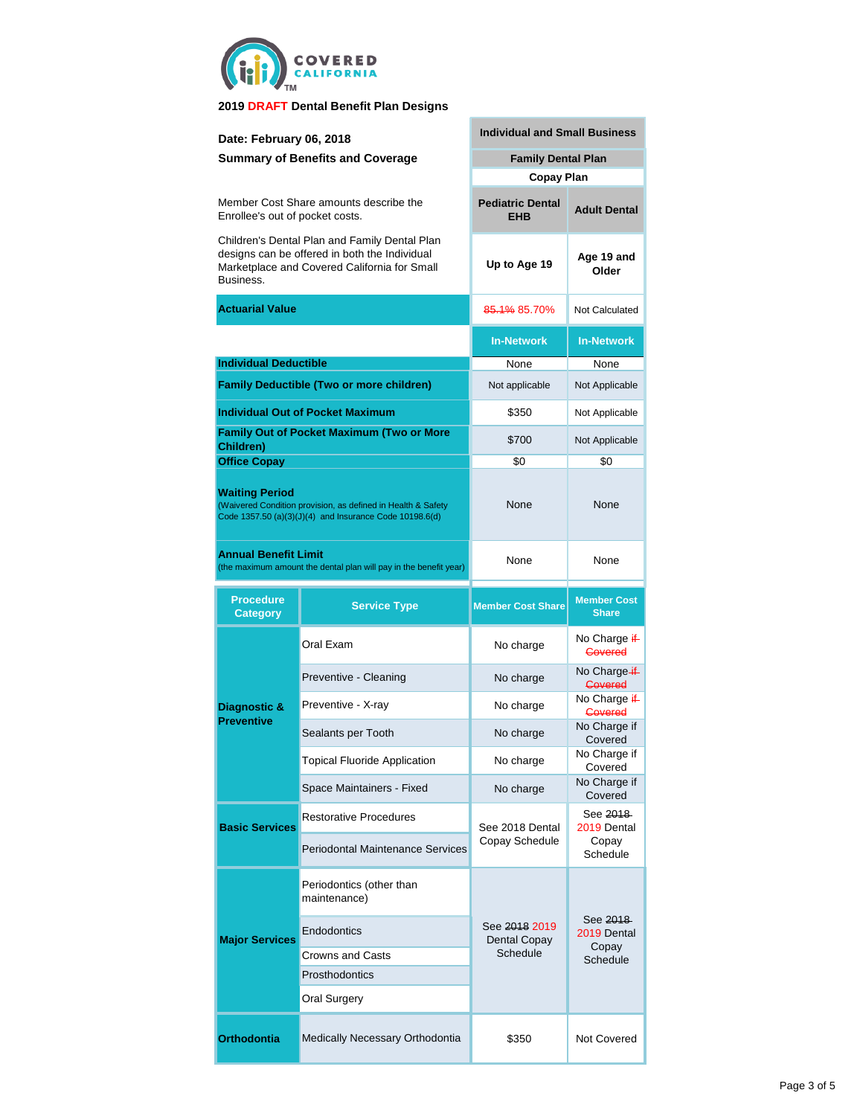

| Date: February 06, 2018                                                                                                                                     |                                                                                                                         | <b>Individual and Small Business</b>  |                                      |  |  |
|-------------------------------------------------------------------------------------------------------------------------------------------------------------|-------------------------------------------------------------------------------------------------------------------------|---------------------------------------|--------------------------------------|--|--|
| <b>Summary of Benefits and Coverage</b>                                                                                                                     |                                                                                                                         | <b>Family Dental Plan</b>             |                                      |  |  |
|                                                                                                                                                             |                                                                                                                         | <b>Copay Plan</b>                     |                                      |  |  |
| Enrollee's out of pocket costs.                                                                                                                             | Member Cost Share amounts describe the                                                                                  | <b>Pediatric Dental</b><br><b>EHB</b> | <b>Adult Dental</b>                  |  |  |
| Children's Dental Plan and Family Dental Plan<br>designs can be offered in both the Individual<br>Marketplace and Covered California for Small<br>Business. |                                                                                                                         | Up to Age 19                          | Age 19 and<br>Older                  |  |  |
| <b>Actuarial Value</b>                                                                                                                                      |                                                                                                                         | 85.1% 85.70%                          | Not Calculated                       |  |  |
|                                                                                                                                                             |                                                                                                                         | <b>In-Network</b>                     | <b>In-Network</b>                    |  |  |
| <b>Individual Deductible</b>                                                                                                                                |                                                                                                                         | None                                  | None                                 |  |  |
|                                                                                                                                                             | <b>Family Deductible (Two or more children)</b>                                                                         | Not applicable                        | Not Applicable                       |  |  |
|                                                                                                                                                             | <b>Individual Out of Pocket Maximum</b>                                                                                 | \$350                                 | Not Applicable                       |  |  |
| Children)                                                                                                                                                   | <b>Family Out of Pocket Maximum (Two or More</b>                                                                        | \$700                                 | Not Applicable                       |  |  |
| <b>Office Copay</b>                                                                                                                                         |                                                                                                                         | \$0                                   | \$0                                  |  |  |
| <b>Waiting Period</b>                                                                                                                                       | (Waivered Condition provision, as defined in Health & Safety<br>Code 1357.50 (a)(3)(J)(4) and Insurance Code 10198.6(d) | None                                  | None                                 |  |  |
| <b>Annual Benefit Limit</b>                                                                                                                                 | (the maximum amount the dental plan will pay in the benefit year)                                                       | None                                  | None                                 |  |  |
|                                                                                                                                                             |                                                                                                                         |                                       |                                      |  |  |
| <b>Procedure</b><br><b>Category</b>                                                                                                                         | <b>Service Type</b>                                                                                                     | <b>Member Cost Share</b>              | <b>Member Cost</b><br><b>Share</b>   |  |  |
|                                                                                                                                                             | Oral Exam                                                                                                               | No charge                             | No Charge if-<br><b>Covered</b>      |  |  |
|                                                                                                                                                             | Preventive - Cleaning                                                                                                   | No charge                             | No Charge-if-<br><b>Covered</b>      |  |  |
| Diagnostic &                                                                                                                                                | Preventive - X-ray                                                                                                      | No charge                             | No Charge if<br>Covered              |  |  |
| <b>Preventive</b>                                                                                                                                           | Sealants per Tooth                                                                                                      | No charge                             | No Charge if<br>Covered              |  |  |
|                                                                                                                                                             | <b>Topical Fluoride Application</b>                                                                                     | No charge                             | No Charge if<br>Covered              |  |  |
|                                                                                                                                                             | Space Maintainers - Fixed                                                                                               | No charge                             | No Charge if<br>Covered              |  |  |
| <b>Basic Services</b>                                                                                                                                       | <b>Restorative Procedures</b>                                                                                           | See 2018 Dental                       | See <del>2018</del> -<br>2019 Dental |  |  |
|                                                                                                                                                             | Periodontal Maintenance Services                                                                                        | Copay Schedule                        | Copay<br>Schedule                    |  |  |
|                                                                                                                                                             | Periodontics (other than<br>maintenance)                                                                                |                                       |                                      |  |  |
| <b>Major Services</b>                                                                                                                                       | Endodontics                                                                                                             | See 2018 2019<br>Dental Copay         | See 2018<br>2019 Dental              |  |  |
|                                                                                                                                                             | Crowns and Casts                                                                                                        | Schedule                              | Copay<br>Schedule                    |  |  |
|                                                                                                                                                             | Prosthodontics                                                                                                          |                                       |                                      |  |  |
|                                                                                                                                                             | Oral Surgery                                                                                                            |                                       |                                      |  |  |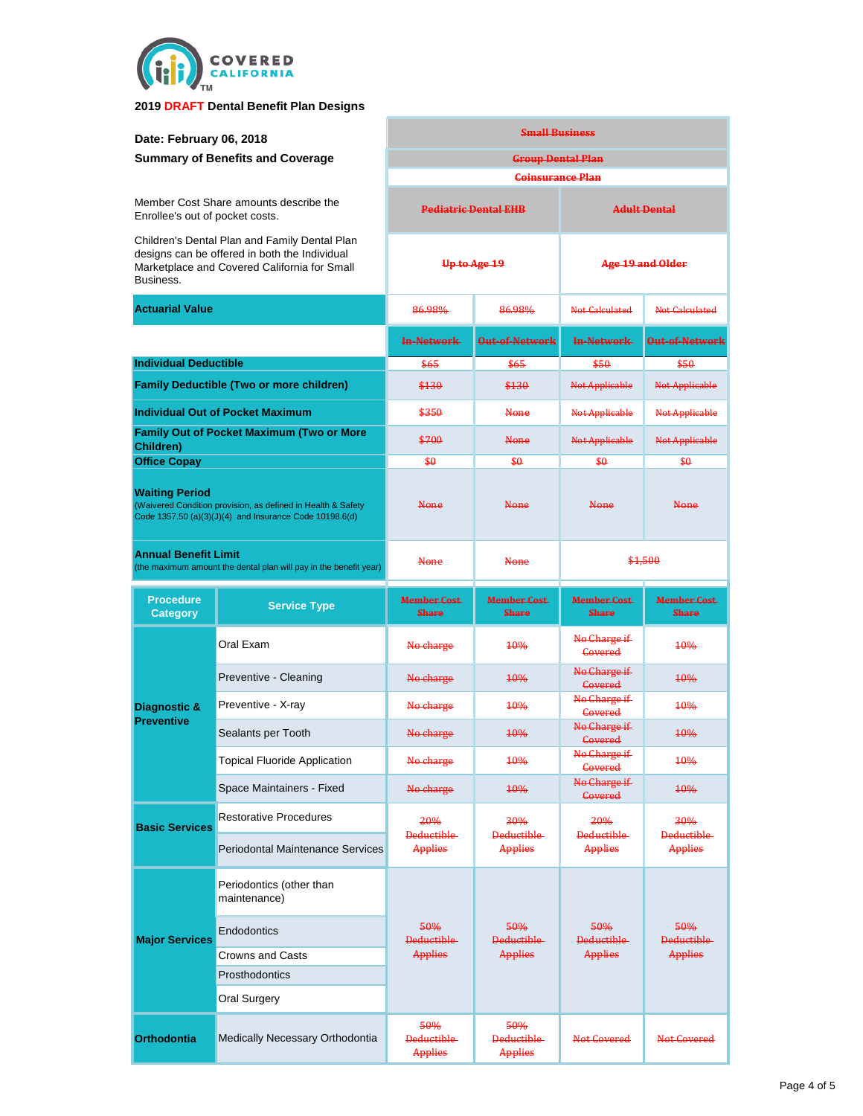

| Date: February 06, 2018                                                                                                                                     |                                                  | <b>Small Business</b>                |                                      |                                      |                                     |
|-------------------------------------------------------------------------------------------------------------------------------------------------------------|--------------------------------------------------|--------------------------------------|--------------------------------------|--------------------------------------|-------------------------------------|
| <b>Summary of Benefits and Coverage</b>                                                                                                                     |                                                  | <b>Group Dental Plan</b>             |                                      |                                      |                                     |
|                                                                                                                                                             |                                                  | <b>Coinsurance Plan</b>              |                                      |                                      |                                     |
| Member Cost Share amounts describe the<br>Enrollee's out of pocket costs.                                                                                   |                                                  | <b>Pediatric Dental EHR</b>          |                                      | <b>Adult Dental</b>                  |                                     |
| Children's Dental Plan and Family Dental Plan<br>designs can be offered in both the Individual<br>Marketplace and Covered California for Small<br>Business. |                                                  | Up to Age 19                         |                                      | Age 19 and Older                     |                                     |
| <b>Actuarial Value</b>                                                                                                                                      |                                                  | 86.98%                               | 86.98%                               | Not Calculated                       | <b>Not Calculated</b>               |
|                                                                                                                                                             |                                                  | <b>In-Network</b>                    | Out-of-Network                       | In-Network                           | Out-of-Network                      |
| <b>Individual Deductible</b>                                                                                                                                |                                                  | \$65                                 | \$65                                 | \$50                                 | \$50                                |
|                                                                                                                                                             | <b>Family Deductible (Two or more children)</b>  | \$130                                | \$130                                | <b>Not Applicable</b>                | <b>Not Applicable</b>               |
|                                                                                                                                                             | <b>Individual Out of Pocket Maximum</b>          | \$350                                | None                                 | Not Applicable                       | Not Applicable                      |
| Children)                                                                                                                                                   | <b>Family Out of Pocket Maximum (Two or More</b> | \$700                                | None                                 | <b>Not Applicable</b>                | <b>Not Applicable</b>               |
| <b>Office Copay</b>                                                                                                                                         |                                                  | \$0                                  | \$0                                  | \$0                                  | \$0                                 |
| <b>Waiting Period</b><br>(Waivered Condition provision, as defined in Health & Safety<br>Code 1357.50 (a)(3)(J)(4) and Insurance Code 10198.6(d)            |                                                  | None                                 | None                                 | None                                 | <b>None</b>                         |
| <b>Annual Benefit Limit</b><br>(the maximum amount the dental plan will pay in the benefit year)                                                            |                                                  | <b>None</b>                          | <b>None</b>                          | \$1,500                              |                                     |
| <b>Procedure</b><br><b>Category</b>                                                                                                                         | <b>Service Type</b>                              | <b>Member Cost</b><br><b>Share</b>   | <b>Member Cost</b><br><b>Share</b>   | <b>Member Cost</b><br><b>Share</b>   | <b>Member Cost-</b><br><b>Share</b> |
|                                                                                                                                                             | Oral Exam                                        | No charge                            | 10%                                  | No Charge if<br>Covered              | <b>10%</b>                          |
|                                                                                                                                                             | Preventive - Cleaning                            | No charge                            | <b>10%</b>                           | No Charge if<br>Covered              | <b>10%</b>                          |
| Diagnostic &<br><b>Preventive</b>                                                                                                                           | Preventive - X-ray                               | No charge                            | <b>10%</b>                           | No Charge if<br>Covered              | <b>10%</b>                          |
|                                                                                                                                                             | Sealants per Tooth                               | No charge                            | <b>10%</b>                           | No Charge if<br>Covered              | <b>10%</b>                          |
|                                                                                                                                                             | <b>Topical Fluoride Application</b>              | No charge                            | 10%                                  | No Charge it-<br>Covered             | 10%                                 |
|                                                                                                                                                             | Space Maintainers - Fixed                        | No charge                            | 10%                                  | No Charge if<br>Covered              | 10%                                 |
| <b>Basic Services</b>                                                                                                                                       | <b>Restorative Procedures</b>                    | 20%<br>Deductible-<br><b>Applies</b> | 30%<br>Deductible<br>Applies         | 20%<br>Deductible-<br><b>Applies</b> | 30%<br>Deductible-<br>Applies       |
|                                                                                                                                                             | <b>Periodontal Maintenance Services</b>          |                                      |                                      |                                      |                                     |
| <b>Major Services</b>                                                                                                                                       | Periodontics (other than<br>maintenance)         | 50%<br>Deductible-<br>Applies        | 50%<br>Deductible-<br>Applies        | 50%<br><b>Deductible</b><br>Applies  | 50%<br><b>Deductible</b><br>Applies |
|                                                                                                                                                             | Endodontics                                      |                                      |                                      |                                      |                                     |
|                                                                                                                                                             | Crowns and Casts                                 |                                      |                                      |                                      |                                     |
|                                                                                                                                                             | Prosthodontics                                   |                                      |                                      |                                      |                                     |
|                                                                                                                                                             | Oral Surgery                                     |                                      |                                      |                                      |                                     |
| <b>Orthodontia</b>                                                                                                                                          | Medically Necessary Orthodontia                  | 50%<br>Deductible-<br><b>Applies</b> | 50%<br>Deductible-<br><b>Applies</b> | Not Covered                          | Not Covered                         |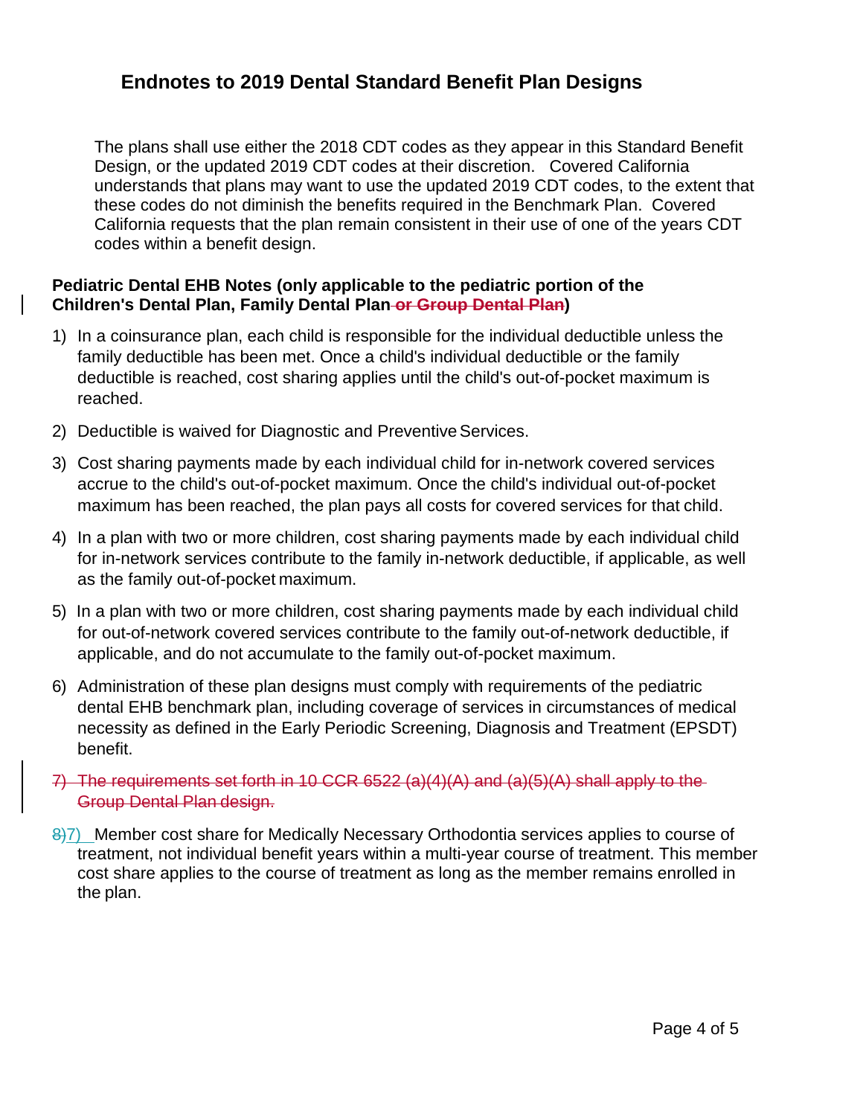# **Endnotes to 2019 Dental Standard Benefit Plan Designs**

The plans shall use either the 2018 CDT codes as they appear in this Standard Benefit Design, or the updated 2019 CDT codes at their discretion. Covered California understands that plans may want to use the updated 2019 CDT codes, to the extent that these codes do not diminish the benefits required in the Benchmark Plan. Covered California requests that the plan remain consistent in their use of one of the years CDT codes within a benefit design.

### **Pediatric Dental EHB Notes (only applicable to the pediatric portion of the Children's Dental Plan, Family Dental Plan or Group Dental Plan)**

- 1) In a coinsurance plan, each child is responsible for the individual deductible unless the family deductible has been met. Once a child's individual deductible or the family deductible is reached, cost sharing applies until the child's out-of-pocket maximum is reached.
- 2) Deductible is waived for Diagnostic and Preventive Services.
- 3) Cost sharing payments made by each individual child for in-network covered services accrue to the child's out-of-pocket maximum. Once the child's individual out-of-pocket maximum has been reached, the plan pays all costs for covered services for that child.
- 4) In a plan with two or more children, cost sharing payments made by each individual child for in-network services contribute to the family in-network deductible, if applicable, as well as the family out-of-pocket maximum.
- 5) In a plan with two or more children, cost sharing payments made by each individual child for out-of-network covered services contribute to the family out-of-network deductible, if applicable, and do not accumulate to the family out-of-pocket maximum.
- 6) Administration of these plan designs must comply with requirements of the pediatric dental EHB benchmark plan, including coverage of services in circumstances of medical necessity as defined in the Early Periodic Screening, Diagnosis and Treatment (EPSDT) benefit.
- 7) The requirements set forth in 10 CCR 6522 (a)(4)(A) and (a)(5)(A) shall apply to the Group Dental Plan design.
- 8)7) Member cost share for Medically Necessary Orthodontia services applies to course of treatment, not individual benefit years within a multi-year course of treatment. This member cost share applies to the course of treatment as long as the member remains enrolled in the plan.